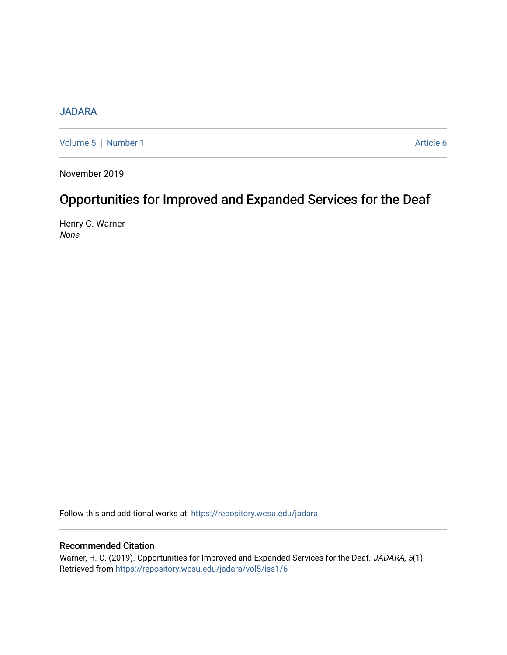# [JADARA](https://repository.wcsu.edu/jadara)

[Volume 5](https://repository.wcsu.edu/jadara/vol5) | [Number 1](https://repository.wcsu.edu/jadara/vol5/iss1) Article 6

November 2019

# Opportunities for Improved and Expanded Services for the Deaf

Henry C. Warner None

Follow this and additional works at: [https://repository.wcsu.edu/jadara](https://repository.wcsu.edu/jadara?utm_source=repository.wcsu.edu%2Fjadara%2Fvol5%2Fiss1%2F6&utm_medium=PDF&utm_campaign=PDFCoverPages)

## Recommended Citation

Warner, H. C. (2019). Opportunities for Improved and Expanded Services for the Deaf. JADARA, 5(1). Retrieved from [https://repository.wcsu.edu/jadara/vol5/iss1/6](https://repository.wcsu.edu/jadara/vol5/iss1/6?utm_source=repository.wcsu.edu%2Fjadara%2Fvol5%2Fiss1%2F6&utm_medium=PDF&utm_campaign=PDFCoverPages)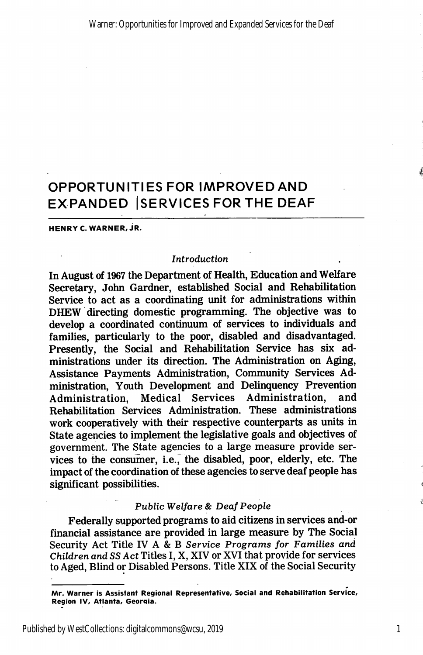# OPPORTUNITIES FOR IMPROVED AND EXPANDED ISERVICES FOR THE DEAF

HENRY C. WARNER. JR.

### Introduction

In August of 1967 the Department of Health, Education and Welfare Secretary, John Gardner, established Social and Rehabilitation Service to act as a coordinating unit for administrations within DHEW directing domestic programming. The objective was to develop a coordinated continuum of services to individuals and families, particularly to the poor, disabled and disadvantaged. Presently, the Social and Rehabilitation Service has six ad ministrations under its direction. The Administration on Aging, Assistance Payments Administration, Community Services Ad ministration, Youth Development and Delinquency Prevention Administration, Medical Services Administration, and Rehabilitation Services Administration. These administrations work cooperatively with their respective counterparts as units in State agencies to implement the legislative goals and objectives of government. The State agencies to a large measure provide ser vices to the consumer, i.e., the disabled, poor, elderly, etc. The impact of the coordination of these agencies to serve deaf people has significant possibilities.

#### Public Welfare & Deaf People

Federally supported programs to aid citizens in services and-or financial assistance are provided in large measure by The Social Security Act Title IV A & B Service Programs for Families and Children and 33 Act Titles I, X, XIV or XVI that provide for services to Aged, Blind or Disabled Persons. Title XIX of the Social Security

1

Mr. Warner is Assistant Regional Representative, Social and Rehabilitation Service, Region IV, Atlanta, Georaia.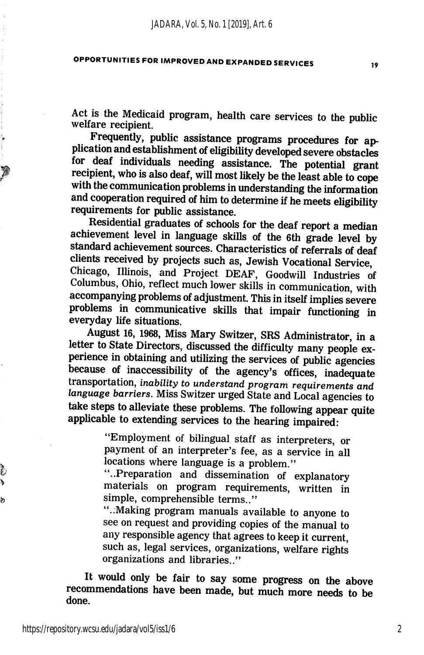Act is the Medicaid program, health care services to the public welfare recipient.

Frequently, public assistance programs procedures for ap plication and establishment of eligibility developed severe obstacles for deaf individuals needing assistance. The potential grant recipient, who is also deaf, will most likely be the least able to cope with the communication problems in understanding the information and cooperation required of him to determine if he meets eligibility requirements for public assistance.

Residential graduates of schools for the deaf report a median achievement level in language skills of the 6th grade level by standard achievement sources. Characteristics of referrals of deaf clients received by projects such as, Jewish Vocational Service, Chicago, Illinois, and Project DEAF, Goodwill Industries of Columbus, Ohio, reflect much lower skills in communication, with accompanying problems of adjustment. This in itself implies severe problems in communicative skills that impair functioning in everyday life situations.

August 16, 1968, Miss Mary Switzer, SRS Administrator, in a letter to State Directors, discussed the difficulty many people ex perience in obtaining and utilizing the services of public agencies because of inaccessibility of the agency's offices, inadequate transportation, inability to understand program requirements and language barriers. Miss Switzer urged State and Local agencies to take steps to alleviate these problems. The following appear quite applicable to extending services to the hearing impaired:

> "Employment of bilingual staff as interpreters, or payment of an interpreter's fee, as a service in all locations where language is a problem."

> "..Preparation and dissemination of explanatory materials on program requirements, written in simple, comprehensible terms.."

> "..Making program manuals available to anyone to see on request and providing copies of the manual to any responsible agency that agrees to keep it current, such as, legal services, organizations, welfare rights organizations and libraries.."

It would only be fair to say some progress on the above recommendations have been made, but much more needs to be done.

ģ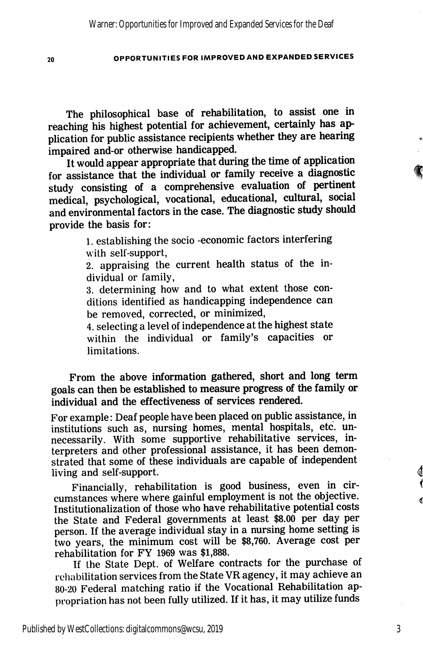The philosophical base of rehabilitation, to assist one in reaching his highest potential for achievement, certainly has ap plication for public assistance recipients whether they are hearing impaired and-or otherwise handicapped.

It would appear appropriate that during the time of application for assistance that the individual or family receive a diagnostic study consisting of a comprehensive evaluation of pertinent medical, psychological, vocational, educational, cultural, social and environmental factors in the case. The diagnostic study should provide the basis for:

> 1. establishing the socio -economic factors interfering with self-support,

> 2. appraising the current health status of the in dividual or family,

> 3. determining how and to what extent those con ditions identified as handicapping independence can be removed, corrected, or minimized,

> 4. selecting a level of independence at the highest state within the individual or family's capacities or limitations.

From the above information gathered, short and long term goals can then be established to measure progress of the family or individual and the effectiveness of services rendered.

For example: Deaf people have been placed on public assistance, in institutions such as, nursing homes, mental hospitals, etc. un necessarily. With some supportive rehabilitative services, in terpreters and other professional assistance, it has been demon strated that some of these individuals are capable of independent living and self-support.

Financially, rehabilitation is good business, even in cir cumstances where where gainful employment is not the objective. Institutionalization of those who have rehabilitative potential costs the State and Federal governments at least \$8.00 per day per person. If the average individual stay in a nursing home setting is two years, the minimum cost will be \$8,760. Average cost per rehabilitation for FY 1969 was \$1,888.

If the State Dept. of Welfare contracts for the purchase of rehabilitation services from the State VR agency, it may achieve an 80-20 Federal matching ratio if the Vocational Rehabilitation ap propriation has not been fully utilized. If it has, it may utilize funds

3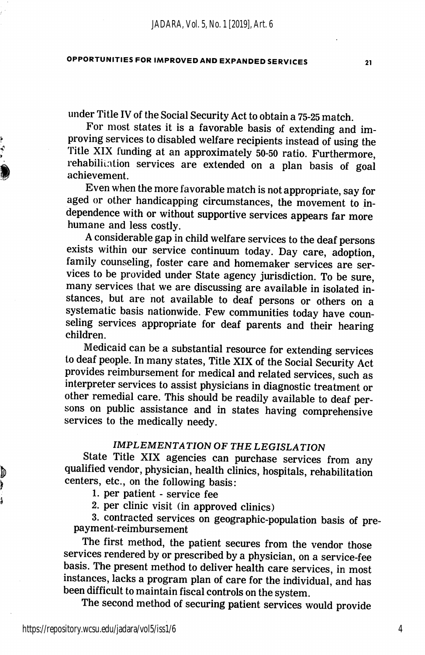under Title IV of the Social Security Act to obtain a 75-25 match.

For most states it is a favorable basis of extending and im proving services to disabled welfare recipients instead of using the Title XIX funding at an approximately 50-50 ratio. Furthermore, rehabilitation services are extended on a plan basis of goal achievement.

Even when the more favorable match is not appropriate, say for aged or other handicapping circumstances, the movement to in dependence with or without supportive services appears far more humane and less costly.

A considerable gap in child welfare services to the deaf persons exists within our service continuum today. Day care, adoption, family counseling, foster care and homemaker services are ser vices to be provided under State agency jurisdiction. To be sure, many services that we are discussing are available in isolated in stances, but are not available to deaf persons or others on a systematic basis nationwide. Few communities today have coun seling services appropriate for deaf parents and their hearing children.

Medicaid can be a substantial resource for extending services to deaf people. In many states. Title XIX of the Social Security Act provides reimbursement for medical and related services, such as interpreter services to assist physicians in diagnostic treatment or other remedial care. This should be readily available to deaf per sons on public assistance and in states having comprehensive services to the medically needy.

## IMPLEMENTATION OF THE LEGISLATION

State Title XIX agencies can purchase services from any qualified vendor, physician, health clinics, hospitals, rehabilitation centers, etc., on the following basis;

1. per patient - service fee

2. per clinic visit (in approved clinics)

3. contracted services on geographic-population basis of pre payment-reimbursement

The first method, the patient secures from the vendor those services rendered by or prescribed by a physician, on a service-fee basis. The present method to deliver health care services, in most instances, lacks a program plan of care for the individual, and has been difficult to maintain fiscal controls on the system.

The second method of securing patient services would provide

 $\ddot{\phantom{a}}$ 

þ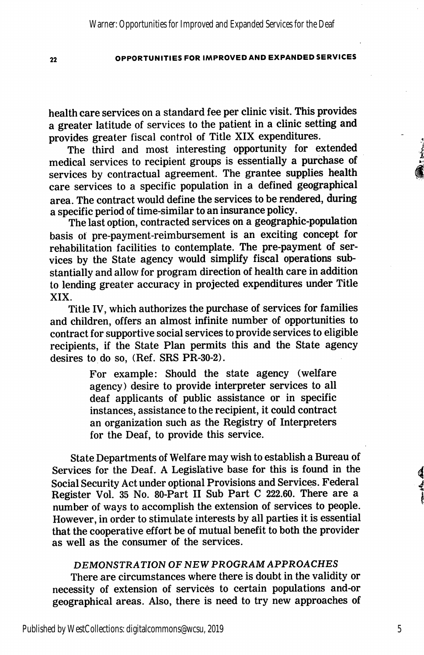health care services on a standard fee per clinic visit. This provides a greater latitude of services to the patient in a clinic setting and provides greater fiscal control of Title XIX expenditures.

The third and most interesting opportunity for extended medical services to recipient groups is essentially a purchase of services by contractual agreement. The grantee supplies health care services to a specific population in a defined geographical area. The contract would define the services to be rendered, during a specific period of time-similar to an insurance policy.

The last option, contracted services on a geographic-population basis of pre-payment-reimbursement is an exciting concept for rehabilitation facilities to contemplate. The pre-payment of ser vices by the State agency would simplify fiscal operations sub stantially and allow for program direction of health care in addition to lending greater accuracy in projected expenditures under Title XIX.

Title IV, which authorizes the purchase of services for families and children, offers an almost infinite number of opportunities to contract for supportive social services to provide services to eligible recipients, if the State Plan permits this and the State agency desires to do so, (Ref. SRS PR-30-2).

> For example: Should the state agency (welfare agency) desire to provide interpreter services to all deaf applicants of public assistance or in specific instances, assistance to the recipient, it could contract an organization such as the Registry of Interpreters for the Deaf, to provide this service.

State Departments of Welfare may wish to establish a Bureau of Services for the Deaf. A Legislative base for this is found in the Social Security Act under optional Provisions and Services. Federal Register Vol. 35 No. 80-Part 11 Sub Part C 222.60. There are a number of ways to accomplish the extension of services to people. However, in order to stimulate interests by all parties it is essential that the cooperative effort be of mutual benefit to both the provider as well as the consumer of the services.

### DEMONSTRATION OF NEW PROGRAM APPROACHES

There are circumstances where there is doubt in the validity or necessity of extension of services to certain populations and-or geographical areas. Also, there is need to try new approaches of

5